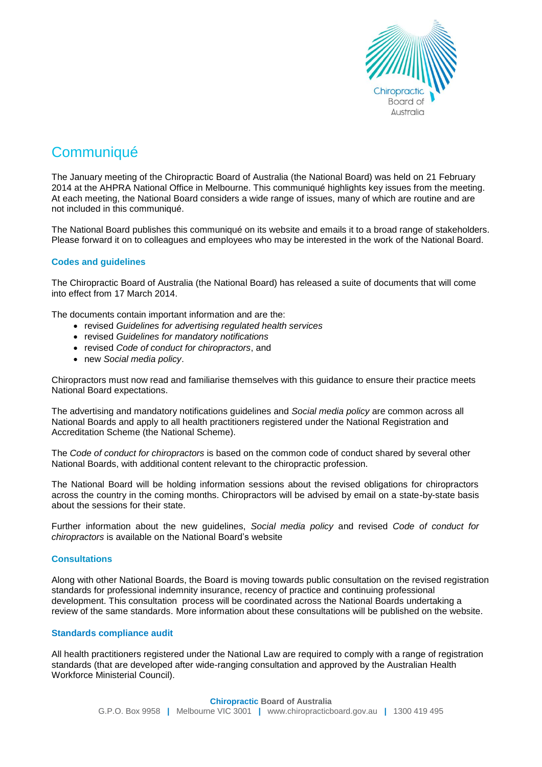

# **Communiqué**

The January meeting of the Chiropractic Board of Australia (the National Board) was held on 21 February 2014 at the AHPRA National Office in Melbourne. This communiqué highlights key issues from the meeting. At each meeting, the National Board considers a wide range of issues, many of which are routine and are not included in this communiqué.

The National Board publishes this communiqué on its website and emails it to a broad range of stakeholders. Please forward it on to colleagues and employees who may be interested in the work of the National Board.

## **Codes and guidelines**

The Chiropractic Board of Australia (the National Board) has released a suite of documents that will come into effect from 17 March 2014.

The documents contain important information and are the:

- revised *Guidelines for advertising regulated health services*
- revised *Guidelines for mandatory notifications*
- revised *Code of conduct for chiropractors*, and
- new *Social media policy*.

Chiropractors must now read and familiarise themselves with this guidance to ensure their practice meets National Board expectations.

The advertising and mandatory notifications guidelines and *Social media policy* are common across all National Boards and apply to all health practitioners registered under the National Registration and Accreditation Scheme (the National Scheme).

The *Code of conduct for chiropractors* is based on the common code of conduct shared by several other National Boards, with additional content relevant to the chiropractic profession.

The National Board will be holding information sessions about the revised obligations for chiropractors across the country in the coming months. Chiropractors will be advised by email on a state-by-state basis about the sessions for their state.

Further information about the new guidelines, *Social media policy* and revised *Code of conduct for chiropractors* is available on the [National](http://www.chiropracticboard.gov.au/Codes-guidelines.aspx) Board's website

#### **Consultations**

Along with other National Boards, the Board is moving towards public consultation on the revised registration standards for professional indemnity insurance, recency of practice and continuing professional development. This consultation process will be coordinated across the National Boards undertaking a review of the same standards. More information about these consultations will be published on the website.

#### **Standards compliance audit**

All health practitioners registered under the National Law are required to comply with a range of registration standards (that are developed after wide-ranging consultation and approved by the Australian Health Workforce Ministerial Council).